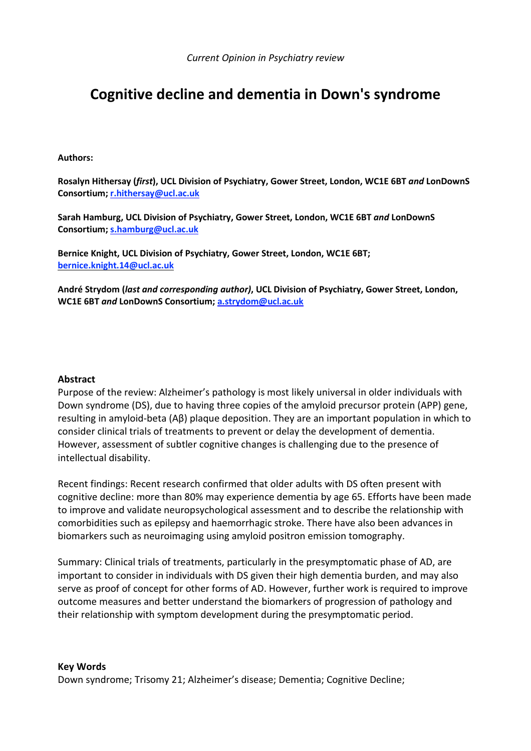# **Cognitive decline and dementia in Down's syndrome**

#### **Authors:**

**Rosalyn Hithersay (***first***), UCL Division of Psychiatry, Gower Street, London, WC1E 6BT** *and* **LonDownS Consortium; [r.hithersay@ucl.ac.uk](mailto:r.hithersay@ucl.ac.uk)**

**Sarah Hamburg, UCL Division of Psychiatry, Gower Street, London, WC1E 6BT** *and* **LonDownS Consortium; [s.hamburg@ucl.ac.uk](mailto:s.hamburg@ucl.ac.uk)**

**Bernice Knight, UCL Division of Psychiatry, Gower Street, London, WC1E 6BT; [bernice.knight.14@ucl.ac.uk](mailto:bernice.knight.14@ucl.ac.uk)**

**André Strydom (***last and corresponding author)***, UCL Division of Psychiatry, Gower Street, London, WC1E 6BT** *and* **LonDownS Consortium; [a.strydom@ucl.ac.uk](mailto:a.strydom@ucl.ac.uk)**

## **Abstract**

Purpose of the review: Alzheimer's pathology is most likely universal in older individuals with Down syndrome (DS), due to having three copies of the amyloid precursor protein (APP) gene, resulting in amyloid-beta (Aβ) plaque deposition. They are an important population in which to consider clinical trials of treatments to prevent or delay the development of dementia. However, assessment of subtler cognitive changes is challenging due to the presence of intellectual disability.

Recent findings: Recent research confirmed that older adults with DS often present with cognitive decline: more than 80% may experience dementia by age 65. Efforts have been made to improve and validate neuropsychological assessment and to describe the relationship with comorbidities such as epilepsy and haemorrhagic stroke. There have also been advances in biomarkers such as neuroimaging using amyloid positron emission tomography.

Summary: Clinical trials of treatments, particularly in the presymptomatic phase of AD, are important to consider in individuals with DS given their high dementia burden, and may also serve as proof of concept for other forms of AD. However, further work is required to improve outcome measures and better understand the biomarkers of progression of pathology and their relationship with symptom development during the presymptomatic period.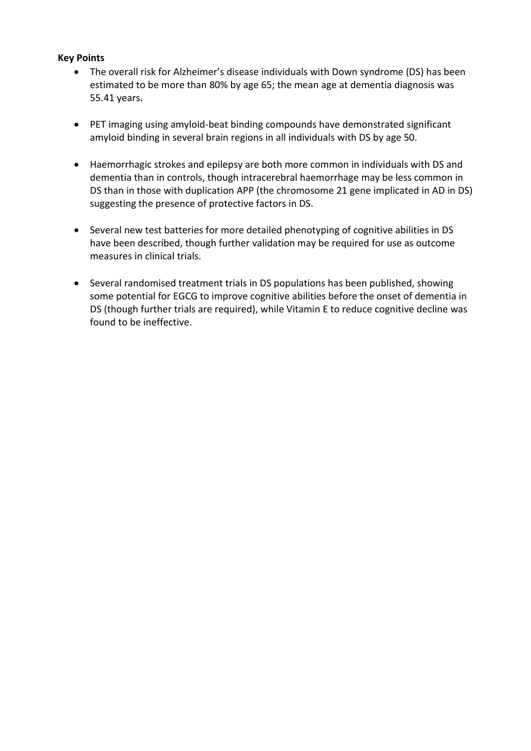## **Key Points**

- The overall risk for Alzheimer's disease individuals with Down syndrome (DS) has been estimated to be more than 80% by age 65; the mean age at dementia diagnosis was 55.41 years.
- PET imaging using amyloid-beat binding compounds have demonstrated significant amyloid binding in several brain regions in all individuals with DS by age 50.
- Haemorrhagic strokes and epilepsy are both more common in individuals with DS and dementia than in controls, though intracerebral haemorrhage may be less common in DS than in those with duplication APP (the chromosome 21 gene implicated in AD in DS) suggesting the presence of protective factors in DS.
- Several new test batteries for more detailed phenotyping of cognitive abilities in DS have been described, though further validation may be required for use as outcome measures in clinical trials.
- Several randomised treatment trials in DS populations has been published, showing some potential for EGCG to improve cognitive abilities before the onset of dementia in DS (though further trials are required), while Vitamin E to reduce cognitive decline was found to be ineffective.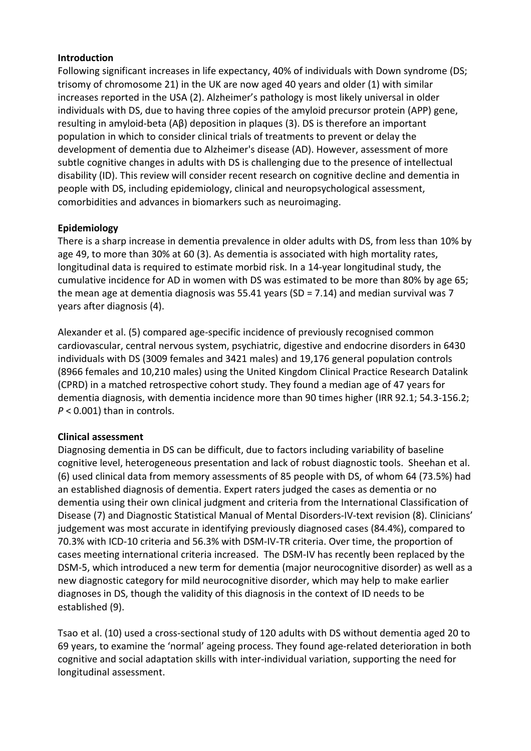## **Introduction**

Following significant increases in life expectancy, 40% of individuals with Down syndrome (DS; trisomy of chromosome 21) in the UK are now aged 40 years and older (1) with similar increases reported in the USA (2). Alzheimer's pathology is most likely universal in older individuals with DS, due to having three copies of the amyloid precursor protein (APP) gene, resulting in amyloid-beta (Aβ) deposition in plaques (3). DS is therefore an important population in which to consider clinical trials of treatments to prevent or delay the development of dementia due to Alzheimer's disease (AD). However, assessment of more subtle cognitive changes in adults with DS is challenging due to the presence of intellectual disability (ID). This review will consider recent research on cognitive decline and dementia in people with DS, including epidemiology, clinical and neuropsychological assessment, comorbidities and advances in biomarkers such as neuroimaging.

# **Epidemiology**

There is a sharp increase in dementia prevalence in older adults with DS, from less than 10% by age 49, to more than 30% at 60 (3). As dementia is associated with high mortality rates, longitudinal data is required to estimate morbid risk. In a 14-year longitudinal study, the cumulative incidence for AD in women with DS was estimated to be more than 80% by age 65; the mean age at dementia diagnosis was 55.41 years (SD = 7.14) and median survival was 7 years after diagnosis (4).

Alexander et al. (5) compared age-specific incidence of previously recognised common cardiovascular, central nervous system, psychiatric, digestive and endocrine disorders in 6430 individuals with DS (3009 females and 3421 males) and 19,176 general population controls (8966 females and 10,210 males) using the United Kingdom Clinical Practice Research Datalink (CPRD) in a matched retrospective cohort study. They found a median age of 47 years for dementia diagnosis, with dementia incidence more than 90 times higher (IRR 92.1; 54.3-156.2; *P* < 0.001) than in controls.

# **Clinical assessment**

Diagnosing dementia in DS can be difficult, due to factors including variability of baseline cognitive level, heterogeneous presentation and lack of robust diagnostic tools. Sheehan et al. (6) used clinical data from memory assessments of 85 people with DS, of whom 64 (73.5%) had an established diagnosis of dementia. Expert raters judged the cases as dementia or no dementia using their own clinical judgment and criteria from the International Classification of Disease (7) and Diagnostic Statistical Manual of Mental Disorders-IV-text revision (8). Clinicians' judgement was most accurate in identifying previously diagnosed cases (84.4%), compared to 70.3% with ICD-10 criteria and 56.3% with DSM-IV-TR criteria. Over time, the proportion of cases meeting international criteria increased. The DSM-IV has recently been replaced by the DSM-5, which introduced a new term for dementia (major neurocognitive disorder) as well as a new diagnostic category for mild neurocognitive disorder, which may help to make earlier diagnoses in DS, though the validity of this diagnosis in the context of ID needs to be established (9).

Tsao et al. (10) used a cross-sectional study of 120 adults with DS without dementia aged 20 to 69 years, to examine the 'normal' ageing process. They found age-related deterioration in both cognitive and social adaptation skills with inter-individual variation, supporting the need for longitudinal assessment.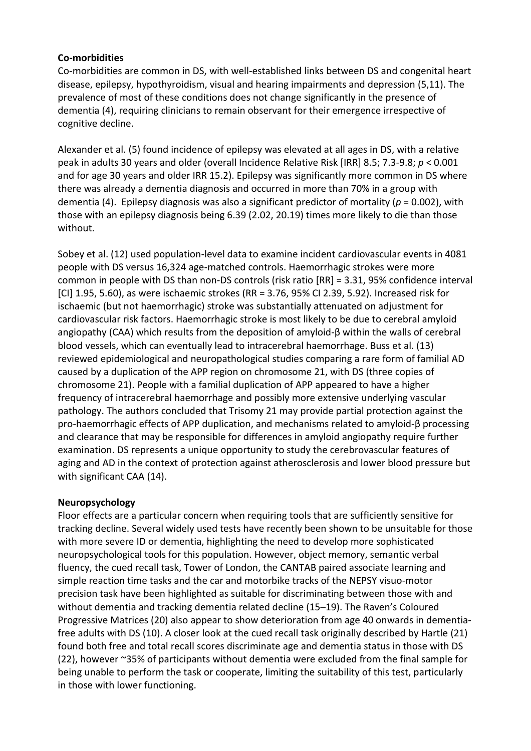## **Co-morbidities**

Co-morbidities are common in DS, with well-established links between DS and congenital heart disease, epilepsy, hypothyroidism, visual and hearing impairments and depression (5,11). The prevalence of most of these conditions does not change significantly in the presence of dementia (4), requiring clinicians to remain observant for their emergence irrespective of cognitive decline.

Alexander et al. (5) found incidence of epilepsy was elevated at all ages in DS, with a relative peak in adults 30 years and older (overall Incidence Relative Risk [IRR] 8.5; 7.3-9.8; *p* < 0.001 and for age 30 years and older IRR 15.2). Epilepsy was significantly more common in DS where there was already a dementia diagnosis and occurred in more than 70% in a group with dementia (4). Epilepsy diagnosis was also a significant predictor of mortality (*p* = 0.002), with those with an epilepsy diagnosis being 6.39 (2.02, 20.19) times more likely to die than those without.

Sobey et al. (12) used population-level data to examine incident cardiovascular events in 4081 people with DS versus 16,324 age-matched controls. Haemorrhagic strokes were more common in people with DS than non-DS controls (risk ratio [RR] = 3.31, 95% confidence interval [CI] 1.95, 5.60), as were ischaemic strokes (RR = 3.76, 95% CI 2.39, 5.92). Increased risk for ischaemic (but not haemorrhagic) stroke was substantially attenuated on adjustment for cardiovascular risk factors. Haemorrhagic stroke is most likely to be due to cerebral amyloid angiopathy (CAA) which results from the deposition of amyloid-β within the walls of cerebral blood vessels, which can eventually lead to intracerebral haemorrhage. Buss et al. (13) reviewed epidemiological and neuropathological studies comparing a rare form of familial AD caused by a duplication of the APP region on chromosome 21, with DS (three copies of chromosome 21). People with a familial duplication of APP appeared to have a higher frequency of intracerebral haemorrhage and possibly more extensive underlying vascular pathology. The authors concluded that Trisomy 21 may provide partial protection against the pro-haemorrhagic effects of APP duplication, and mechanisms related to amyloid-β processing and clearance that may be responsible for differences in amyloid angiopathy require further examination. DS represents a unique opportunity to study the cerebrovascular features of aging and AD in the context of protection against atherosclerosis and lower blood pressure but with significant CAA (14).

#### **Neuropsychology**

Floor effects are a particular concern when requiring tools that are sufficiently sensitive for tracking decline. Several widely used tests have recently been shown to be unsuitable for those with more severe ID or dementia, highlighting the need to develop more sophisticated neuropsychological tools for this population. However, object memory, semantic verbal fluency, the cued recall task, Tower of London, the CANTAB paired associate learning and simple reaction time tasks and the car and motorbike tracks of the NEPSY visuo-motor precision task have been highlighted as suitable for discriminating between those with and without dementia and tracking dementia related decline (15–19). The Raven's Coloured Progressive Matrices (20) also appear to show deterioration from age 40 onwards in dementiafree adults with DS (10). A closer look at the cued recall task originally described by Hartle (21) found both free and total recall scores discriminate age and dementia status in those with DS (22), however ~35% of participants without dementia were excluded from the final sample for being unable to perform the task or cooperate, limiting the suitability of this test, particularly in those with lower functioning.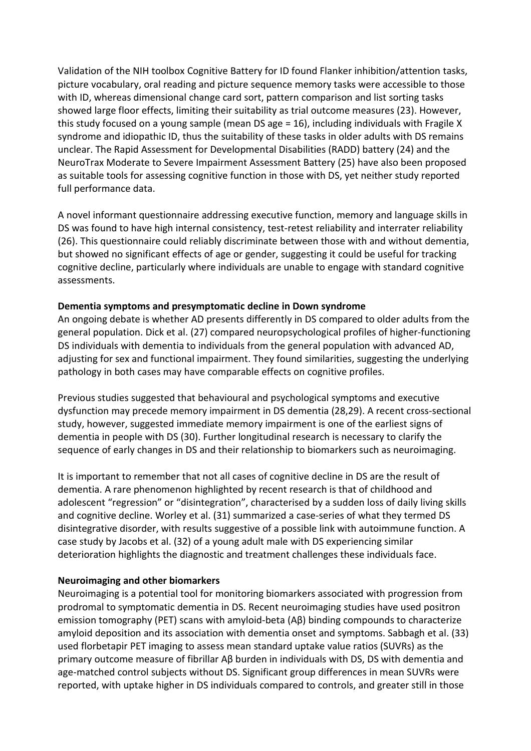Validation of the NIH toolbox Cognitive Battery for ID found Flanker inhibition/attention tasks, picture vocabulary, oral reading and picture sequence memory tasks were accessible to those with ID, whereas dimensional change card sort, pattern comparison and list sorting tasks showed large floor effects, limiting their suitability as trial outcome measures (23). However, this study focused on a young sample (mean DS age = 16), including individuals with Fragile X syndrome and idiopathic ID, thus the suitability of these tasks in older adults with DS remains unclear. The Rapid Assessment for Developmental Disabilities (RADD) battery (24) and the NeuroTrax Moderate to Severe Impairment Assessment Battery (25) have also been proposed as suitable tools for assessing cognitive function in those with DS, yet neither study reported full performance data.

A novel informant questionnaire addressing executive function, memory and language skills in DS was found to have high internal consistency, test-retest reliability and interrater reliability (26). This questionnaire could reliably discriminate between those with and without dementia, but showed no significant effects of age or gender, suggesting it could be useful for tracking cognitive decline, particularly where individuals are unable to engage with standard cognitive assessments.

## **Dementia symptoms and presymptomatic decline in Down syndrome**

An ongoing debate is whether AD presents differently in DS compared to older adults from the general population. Dick et al. (27) compared neuropsychological profiles of higher-functioning DS individuals with dementia to individuals from the general population with advanced AD, adjusting for sex and functional impairment. They found similarities, suggesting the underlying pathology in both cases may have comparable effects on cognitive profiles.

Previous studies suggested that behavioural and psychological symptoms and executive dysfunction may precede memory impairment in DS dementia (28,29). A recent cross-sectional study, however, suggested immediate memory impairment is one of the earliest signs of dementia in people with DS (30). Further longitudinal research is necessary to clarify the sequence of early changes in DS and their relationship to biomarkers such as neuroimaging.

It is important to remember that not all cases of cognitive decline in DS are the result of dementia. A rare phenomenon highlighted by recent research is that of childhood and adolescent "regression" or "disintegration", characterised by a sudden loss of daily living skills and cognitive decline. Worley et al. (31) summarized a case-series of what they termed DS disintegrative disorder, with results suggestive of a possible link with autoimmune function. A case study by Jacobs et al. (32) of a young adult male with DS experiencing similar deterioration highlights the diagnostic and treatment challenges these individuals face.

#### **Neuroimaging and other biomarkers**

Neuroimaging is a potential tool for monitoring biomarkers associated with progression from prodromal to symptomatic dementia in DS. Recent neuroimaging studies have used positron emission tomography (PET) scans with amyloid-beta (Aβ) binding compounds to characterize amyloid deposition and its association with dementia onset and symptoms. Sabbagh et al. (33) used florbetapir PET imaging to assess mean standard uptake value ratios (SUVRs) as the primary outcome measure of fibrillar Aβ burden in individuals with DS, DS with dementia and age-matched control subjects without DS. Significant group differences in mean SUVRs were reported, with uptake higher in DS individuals compared to controls, and greater still in those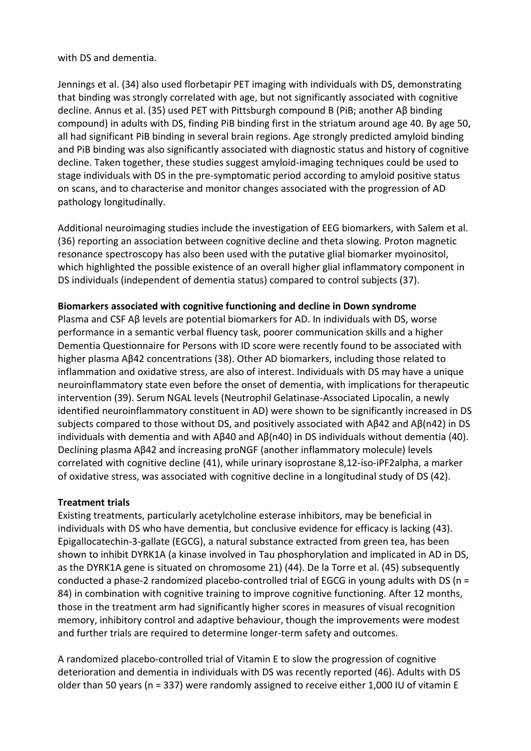with DS and dementia.

Jennings et al. (34) also used florbetapir PET imaging with individuals with DS, demonstrating that binding was strongly correlated with age, but not significantly associated with cognitive decline. Annus et al. (35) used PET with Pittsburgh compound B (PiB; another Aβ binding compound) in adults with DS, finding PiB binding first in the striatum around age 40. By age 50, all had significant PiB binding in several brain regions. Age strongly predicted amyloid binding and PiB binding was also significantly associated with diagnostic status and history of cognitive decline. Taken together, these studies suggest amyloid-imaging techniques could be used to stage individuals with DS in the pre-symptomatic period according to amyloid positive status on scans, and to characterise and monitor changes associated with the progression of AD pathology longitudinally.

Additional neuroimaging studies include the investigation of EEG biomarkers, with Salem et al. (36) reporting an association between cognitive decline and theta slowing. Proton magnetic resonance spectroscopy has also been used with the putative glial biomarker myoinositol, which highlighted the possible existence of an overall higher glial inflammatory component in DS individuals (independent of dementia status) compared to control subjects (37).

# **Biomarkers associated with cognitive functioning and decline in Down syndrome**

Plasma and CSF Aβ levels are potential biomarkers for AD. In individuals with DS, worse performance in a semantic verbal fluency task, poorer communication skills and a higher Dementia Questionnaire for Persons with ID score were recently found to be associated with higher plasma Aβ42 concentrations (38). Other AD biomarkers, including those related to inflammation and oxidative stress, are also of interest. Individuals with DS may have a unique neuroinflammatory state even before the onset of dementia, with implications for therapeutic intervention (39). Serum NGAL levels (Neutrophil Gelatinase-Associated Lipocalin, a newly identified neuroinflammatory constituent in AD) were shown to be significantly increased in DS subjects compared to those without DS, and positively associated with Aβ42 and Aβ(n42) in DS individuals with dementia and with Aβ40 and Aβ(n40) in DS individuals without dementia (40). Declining plasma Aβ42 and increasing proNGF (another inflammatory molecule) levels correlated with cognitive decline (41), while urinary isoprostane 8,12-iso-iPF2alpha, a marker of oxidative stress, was associated with cognitive decline in a longitudinal study of DS (42).

# **Treatment trials**

Existing treatments, particularly acetylcholine esterase inhibitors, may be beneficial in individuals with DS who have dementia, but conclusive evidence for efficacy is lacking (43). Epigallocatechin-3-gallate (EGCG), a natural substance extracted from green tea, has been shown to inhibit DYRK1A (a kinase involved in Tau phosphorylation and implicated in AD in DS, as the DYRK1A gene is situated on chromosome 21) (44). De la Torre et al. (45) subsequently conducted a phase-2 randomized placebo-controlled trial of EGCG in young adults with DS ( $n =$ 84) in combination with cognitive training to improve cognitive functioning. After 12 months, those in the treatment arm had significantly higher scores in measures of visual recognition memory, inhibitory control and adaptive behaviour, though the improvements were modest and further trials are required to determine longer-term safety and outcomes.

A randomized placebo-controlled trial of Vitamin E to slow the progression of cognitive deterioration and dementia in individuals with DS was recently reported (46). Adults with DS older than 50 years (n = 337) were randomly assigned to receive either 1,000 IU of vitamin E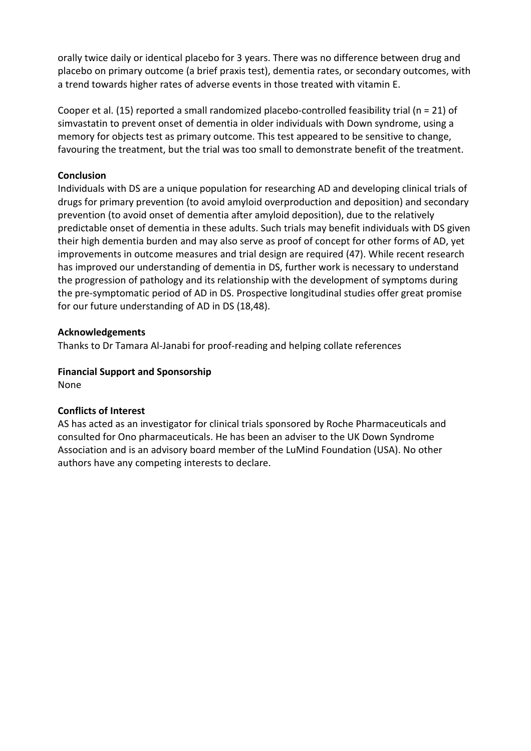orally twice daily or identical placebo for 3 years. There was no difference between drug and placebo on primary outcome (a brief praxis test), dementia rates, or secondary outcomes, with a trend towards higher rates of adverse events in those treated with vitamin E.

Cooper et al. (15) reported a small randomized placebo-controlled feasibility trial (n = 21) of simvastatin to prevent onset of dementia in older individuals with Down syndrome, using a memory for objects test as primary outcome. This test appeared to be sensitive to change, favouring the treatment, but the trial was too small to demonstrate benefit of the treatment.

## **Conclusion**

Individuals with DS are a unique population for researching AD and developing clinical trials of drugs for primary prevention (to avoid amyloid overproduction and deposition) and secondary prevention (to avoid onset of dementia after amyloid deposition), due to the relatively predictable onset of dementia in these adults. Such trials may benefit individuals with DS given their high dementia burden and may also serve as proof of concept for other forms of AD, yet improvements in outcome measures and trial design are required (47). While recent research has improved our understanding of dementia in DS, further work is necessary to understand the progression of pathology and its relationship with the development of symptoms during the pre-symptomatic period of AD in DS. Prospective longitudinal studies offer great promise for our future understanding of AD in DS (18,48).

## **Acknowledgements**

Thanks to Dr Tamara Al-Janabi for proof-reading and helping collate references

# **Financial Support and Sponsorship**

None

# **Conflicts of Interest**

AS has acted as an investigator for clinical trials sponsored by Roche Pharmaceuticals and consulted for Ono pharmaceuticals. He has been an adviser to the UK Down Syndrome Association and is an advisory board member of the LuMind Foundation (USA). No other authors have any competing interests to declare.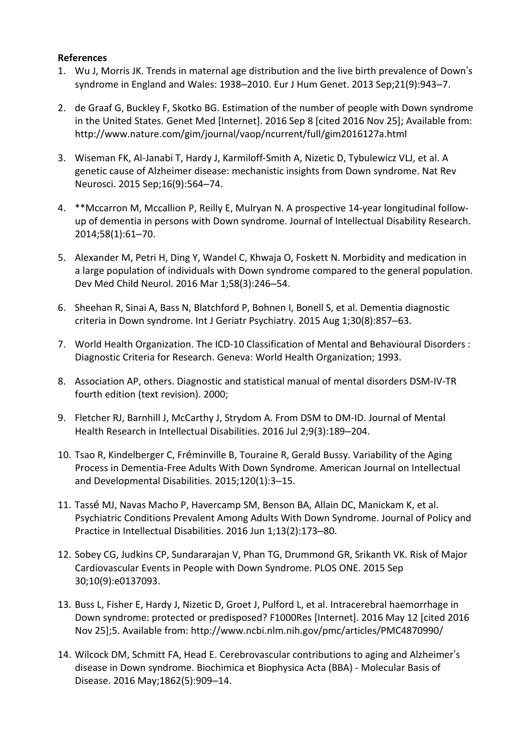## **References**

- 1. Wu J, Morris JK. Trends in maternal age distribution and the live birth prevalence of Down's syndrome in England and Wales: 1938–2010. Eur J Hum Genet. 2013 Sep;21(9):943–7.
- 2. de Graaf G, Buckley F, Skotko BG. Estimation of the number of people with Down syndrome in the United States. Genet Med [Internet]. 2016 Sep 8 [cited 2016 Nov 25]; Available from: http://www.nature.com/gim/journal/vaop/ncurrent/full/gim2016127a.html
- 3. Wiseman FK, Al-Janabi T, Hardy J, Karmiloff-Smith A, Nizetic D, Tybulewicz VLJ, et al. A genetic cause of Alzheimer disease: mechanistic insights from Down syndrome. Nat Rev Neurosci. 2015 Sep;16(9):564–74.
- 4. \*\*Mccarron M, Mccallion P, Reilly E, Mulryan N. A prospective 14-year longitudinal followup of dementia in persons with Down syndrome. Journal of Intellectual Disability Research. 2014;58(1):61–70.
- 5. Alexander M, Petri H, Ding Y, Wandel C, Khwaja O, Foskett N. Morbidity and medication in a large population of individuals with Down syndrome compared to the general population. Dev Med Child Neurol. 2016 Mar 1;58(3):246–54.
- 6. Sheehan R, Sinai A, Bass N, Blatchford P, Bohnen I, Bonell S, et al. Dementia diagnostic criteria in Down syndrome. Int J Geriatr Psychiatry. 2015 Aug 1;30(8):857–63.
- 7. World Health Organization. The ICD-10 Classification of Mental and Behavioural Disorders : Diagnostic Criteria for Research. Geneva: World Health Organization; 1993.
- 8. Association AP, others. Diagnostic and statistical manual of mental disorders DSM-IV-TR fourth edition (text revision). 2000;
- 9. Fletcher RJ, Barnhill J, McCarthy J, Strydom A. From DSM to DM-ID. Journal of Mental Health Research in Intellectual Disabilities. 2016 Jul 2;9(3):189–204.
- 10. Tsao R, Kindelberger C, Fréminville B, Touraine R, Gerald Bussy. Variability of the Aging Process in Dementia-Free Adults With Down Syndrome. American Journal on Intellectual and Developmental Disabilities. 2015;120(1):3–15.
- 11. Tassé MJ, Navas Macho P, Havercamp SM, Benson BA, Allain DC, Manickam K, et al. Psychiatric Conditions Prevalent Among Adults With Down Syndrome. Journal of Policy and Practice in Intellectual Disabilities. 2016 Jun 1;13(2):173–80.
- 12. Sobey CG, Judkins CP, Sundararajan V, Phan TG, Drummond GR, Srikanth VK. Risk of Major Cardiovascular Events in People with Down Syndrome. PLOS ONE. 2015 Sep 30;10(9):e0137093.
- 13. Buss L, Fisher E, Hardy J, Nizetic D, Groet J, Pulford L, et al. Intracerebral haemorrhage in Down syndrome: protected or predisposed? F1000Res [Internet]. 2016 May 12 [cited 2016 Nov 25];5. Available from: http://www.ncbi.nlm.nih.gov/pmc/articles/PMC4870990/
- 14. Wilcock DM, Schmitt FA, Head E. Cerebrovascular contributions to aging and Alzheimer's disease in Down syndrome. Biochimica et Biophysica Acta (BBA) - Molecular Basis of Disease. 2016 May;1862(5):909–14.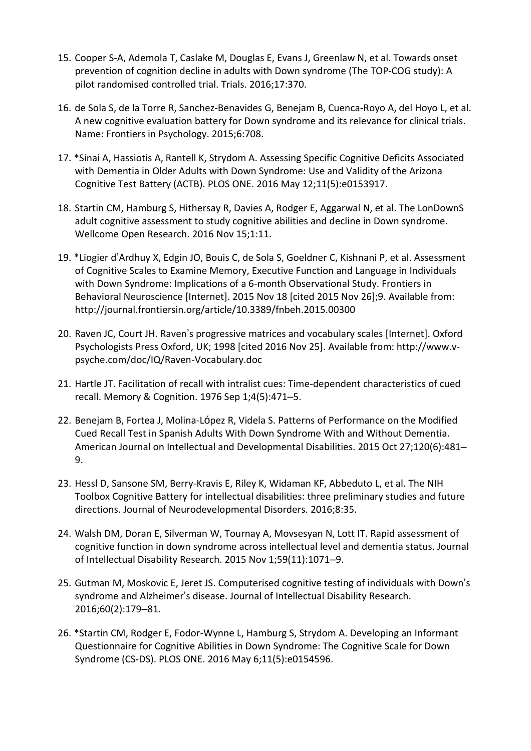- 15. Cooper S-A, Ademola T, Caslake M, Douglas E, Evans J, Greenlaw N, et al. Towards onset prevention of cognition decline in adults with Down syndrome (The TOP-COG study): A pilot randomised controlled trial. Trials. 2016;17:370.
- 16. de Sola S, de la Torre R, Sanchez-Benavides G, Benejam B, Cuenca-Royo A, del Hoyo L, et al. A new cognitive evaluation battery for Down syndrome and its relevance for clinical trials. Name: Frontiers in Psychology. 2015;6:708.
- 17. \*Sinai A, Hassiotis A, Rantell K, Strydom A. Assessing Specific Cognitive Deficits Associated with Dementia in Older Adults with Down Syndrome: Use and Validity of the Arizona Cognitive Test Battery (ACTB). PLOS ONE. 2016 May 12;11(5):e0153917.
- 18. Startin CM, Hamburg S, Hithersay R, Davies A, Rodger E, Aggarwal N, et al. The LonDownS adult cognitive assessment to study cognitive abilities and decline in Down syndrome. Wellcome Open Research. 2016 Nov 15;1:11.
- 19. \*Liogier d'Ardhuy X, Edgin JO, Bouis C, de Sola S, Goeldner C, Kishnani P, et al. Assessment of Cognitive Scales to Examine Memory, Executive Function and Language in Individuals with Down Syndrome: Implications of a 6-month Observational Study. Frontiers in Behavioral Neuroscience [Internet]. 2015 Nov 18 [cited 2015 Nov 26];9. Available from: http://journal.frontiersin.org/article/10.3389/fnbeh.2015.00300
- 20. Raven JC, Court JH. Raven's progressive matrices and vocabulary scales [Internet]. Oxford Psychologists Press Oxford, UK; 1998 [cited 2016 Nov 25]. Available from: http://www.vpsyche.com/doc/IQ/Raven-Vocabulary.doc
- 21. Hartle JT. Facilitation of recall with intralist cues: Time-dependent characteristics of cued recall. Memory & Cognition. 1976 Sep 1;4(5):471–5.
- 22. Benejam B, Fortea J, Molina-López R, Videla S. Patterns of Performance on the Modified Cued Recall Test in Spanish Adults With Down Syndrome With and Without Dementia. American Journal on Intellectual and Developmental Disabilities. 2015 Oct 27;120(6):481– 9.
- 23. Hessl D, Sansone SM, Berry-Kravis E, Riley K, Widaman KF, Abbeduto L, et al. The NIH Toolbox Cognitive Battery for intellectual disabilities: three preliminary studies and future directions. Journal of Neurodevelopmental Disorders. 2016;8:35.
- 24. Walsh DM, Doran E, Silverman W, Tournay A, Movsesyan N, Lott IT. Rapid assessment of cognitive function in down syndrome across intellectual level and dementia status. Journal of Intellectual Disability Research. 2015 Nov 1;59(11):1071–9.
- 25. Gutman M, Moskovic E, Jeret JS. Computerised cognitive testing of individuals with Down's syndrome and Alzheimer's disease. Journal of Intellectual Disability Research. 2016;60(2):179–81.
- 26. \*Startin CM, Rodger E, Fodor-Wynne L, Hamburg S, Strydom A. Developing an Informant Questionnaire for Cognitive Abilities in Down Syndrome: The Cognitive Scale for Down Syndrome (CS-DS). PLOS ONE. 2016 May 6;11(5):e0154596.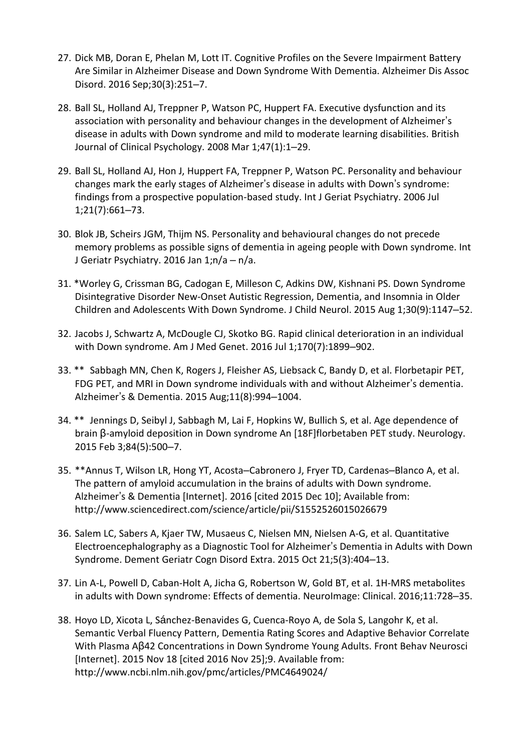- 27. Dick MB, Doran E, Phelan M, Lott IT. Cognitive Profiles on the Severe Impairment Battery Are Similar in Alzheimer Disease and Down Syndrome With Dementia. Alzheimer Dis Assoc Disord. 2016 Sep;30(3):251–7.
- 28. Ball SL, Holland AJ, Treppner P, Watson PC, Huppert FA. Executive dysfunction and its association with personality and behaviour changes in the development of Alzheimer's disease in adults with Down syndrome and mild to moderate learning disabilities. British Journal of Clinical Psychology. 2008 Mar 1;47(1):1–29.
- 29. Ball SL, Holland AJ, Hon J, Huppert FA, Treppner P, Watson PC. Personality and behaviour changes mark the early stages of Alzheimer's disease in adults with Down's syndrome: findings from a prospective population-based study. Int J Geriat Psychiatry. 2006 Jul 1;21(7):661–73.
- 30. Blok JB, Scheirs JGM, Thijm NS. Personality and behavioural changes do not precede memory problems as possible signs of dementia in ageing people with Down syndrome. Int J Geriatr Psychiatry. 2016 Jan 1;n/a – n/a.
- 31. \*Worley G, Crissman BG, Cadogan E, Milleson C, Adkins DW, Kishnani PS. Down Syndrome Disintegrative Disorder New-Onset Autistic Regression, Dementia, and Insomnia in Older Children and Adolescents With Down Syndrome. J Child Neurol. 2015 Aug 1;30(9):1147–52.
- 32. Jacobs J, Schwartz A, McDougle CJ, Skotko BG. Rapid clinical deterioration in an individual with Down syndrome. Am J Med Genet. 2016 Jul 1;170(7):1899–902.
- 33. \*\* Sabbagh MN, Chen K, Rogers J, Fleisher AS, Liebsack C, Bandy D, et al. Florbetapir PET, FDG PET, and MRI in Down syndrome individuals with and without Alzheimer's dementia. Alzheimer's & Dementia. 2015 Aug;11(8):994–1004.
- 34. \*\* Jennings D, Seibyl J, Sabbagh M, Lai F, Hopkins W, Bullich S, et al. Age dependence of brain β-amyloid deposition in Down syndrome An [18F]florbetaben PET study. Neurology. 2015 Feb 3;84(5):500–7.
- 35. \*\*Annus T, Wilson LR, Hong YT, Acosta–Cabronero J, Fryer TD, Cardenas–Blanco A, et al. The pattern of amyloid accumulation in the brains of adults with Down syndrome. Alzheimer's & Dementia [Internet]. 2016 [cited 2015 Dec 10]; Available from: http://www.sciencedirect.com/science/article/pii/S1552526015026679
- 36. Salem LC, Sabers A, Kjaer TW, Musaeus C, Nielsen MN, Nielsen A-G, et al. Quantitative Electroencephalography as a Diagnostic Tool for Alzheimer's Dementia in Adults with Down Syndrome. Dement Geriatr Cogn Disord Extra. 2015 Oct 21;5(3):404–13.
- 37. Lin A-L, Powell D, Caban-Holt A, Jicha G, Robertson W, Gold BT, et al. 1H-MRS metabolites in adults with Down syndrome: Effects of dementia. NeuroImage: Clinical. 2016;11:728–35.
- 38. Hoyo LD, Xicota L, Sánchez-Benavides G, Cuenca-Royo A, de Sola S, Langohr K, et al. Semantic Verbal Fluency Pattern, Dementia Rating Scores and Adaptive Behavior Correlate With Plasma Aβ42 Concentrations in Down Syndrome Young Adults. Front Behav Neurosci [Internet]. 2015 Nov 18 [cited 2016 Nov 25];9. Available from: http://www.ncbi.nlm.nih.gov/pmc/articles/PMC4649024/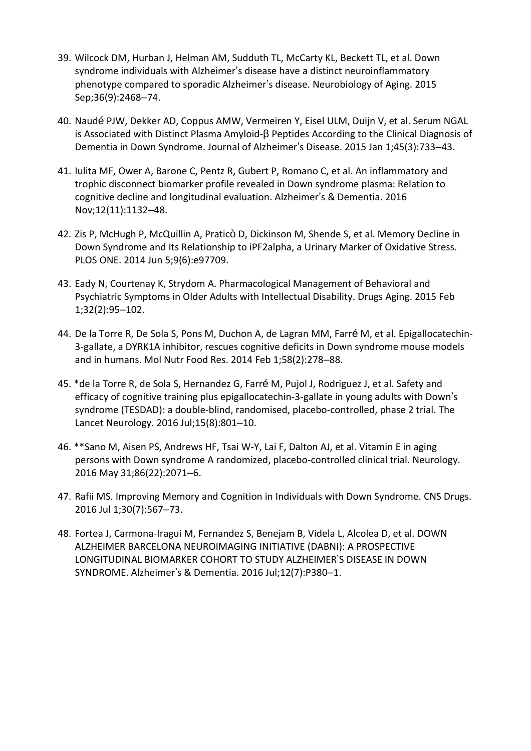- 39. Wilcock DM, Hurban J, Helman AM, Sudduth TL, McCarty KL, Beckett TL, et al. Down syndrome individuals with Alzheimer's disease have a distinct neuroinflammatory phenotype compared to sporadic Alzheimer's disease. Neurobiology of Aging. 2015 Sep;36(9):2468–74.
- 40. Naudé PJW, Dekker AD, Coppus AMW, Vermeiren Y, Eisel ULM, Duijn V, et al. Serum NGAL is Associated with Distinct Plasma Amyloid-β Peptides According to the Clinical Diagnosis of Dementia in Down Syndrome. Journal of Alzheimer's Disease. 2015 Jan 1;45(3):733–43.
- 41. Iulita MF, Ower A, Barone C, Pentz R, Gubert P, Romano C, et al. An inflammatory and trophic disconnect biomarker profile revealed in Down syndrome plasma: Relation to cognitive decline and longitudinal evaluation. Alzheimer's & Dementia. 2016 Nov;12(11):1132–48.
- 42. Zis P, McHugh P, McQuillin A, Praticò D, Dickinson M, Shende S, et al. Memory Decline in Down Syndrome and Its Relationship to iPF2alpha, a Urinary Marker of Oxidative Stress. PLOS ONE. 2014 Jun 5;9(6):e97709.
- 43. Eady N, Courtenay K, Strydom A. Pharmacological Management of Behavioral and Psychiatric Symptoms in Older Adults with Intellectual Disability. Drugs Aging. 2015 Feb 1;32(2):95–102.
- 44. De la Torre R, De Sola S, Pons M, Duchon A, de Lagran MM, Farré M, et al. Epigallocatechin-3-gallate, a DYRK1A inhibitor, rescues cognitive deficits in Down syndrome mouse models and in humans. Mol Nutr Food Res. 2014 Feb 1;58(2):278–88.
- 45. \*de la Torre R, de Sola S, Hernandez G, Farré M, Pujol J, Rodriguez J, et al. Safety and efficacy of cognitive training plus epigallocatechin-3-gallate in young adults with Down's syndrome (TESDAD): a double-blind, randomised, placebo-controlled, phase 2 trial. The Lancet Neurology. 2016 Jul;15(8):801–10.
- 46. \*\*Sano M, Aisen PS, Andrews HF, Tsai W-Y, Lai F, Dalton AJ, et al. Vitamin E in aging persons with Down syndrome A randomized, placebo-controlled clinical trial. Neurology. 2016 May 31;86(22):2071–6.
- 47. Rafii MS. Improving Memory and Cognition in Individuals with Down Syndrome. CNS Drugs. 2016 Jul 1;30(7):567–73.
- 48. Fortea J, Carmona-Iragui M, Fernandez S, Benejam B, Videla L, Alcolea D, et al. DOWN ALZHEIMER BARCELONA NEUROIMAGING INITIATIVE (DABNI): A PROSPECTIVE LONGITUDINAL BIOMARKER COHORT TO STUDY ALZHEIMER'S DISEASE IN DOWN SYNDROME. Alzheimer's & Dementia. 2016 Jul;12(7):P380–1.